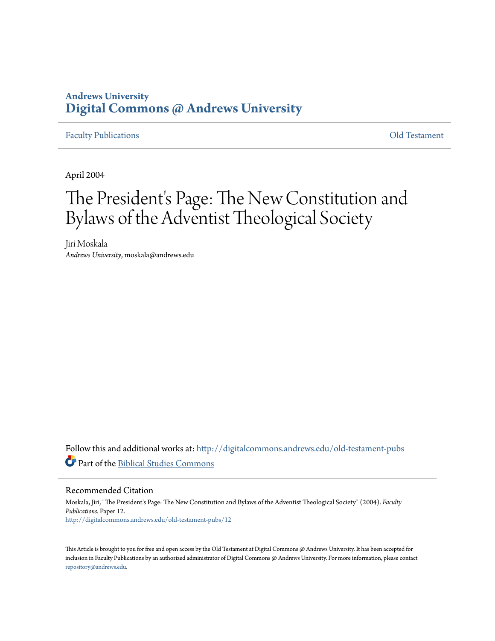## **Andrews University [Digital Commons @ Andrews University](http://digitalcommons.andrews.edu?utm_source=digitalcommons.andrews.edu%2Fold-testament-pubs%2F12&utm_medium=PDF&utm_campaign=PDFCoverPages)**

### [Faculty Publications](http://digitalcommons.andrews.edu/old-testament-pubs?utm_source=digitalcommons.andrews.edu%2Fold-testament-pubs%2F12&utm_medium=PDF&utm_campaign=PDFCoverPages) [Old Testament](http://digitalcommons.andrews.edu/old-testament?utm_source=digitalcommons.andrews.edu%2Fold-testament-pubs%2F12&utm_medium=PDF&utm_campaign=PDFCoverPages)

April 2004

# The President's Page: The New Constitution and Bylaws of the Adventist Theological Society

Jiri Moskala *Andrews University*, moskala@andrews.edu

Follow this and additional works at: [http://digitalcommons.andrews.edu/old-testament-pubs](http://digitalcommons.andrews.edu/old-testament-pubs?utm_source=digitalcommons.andrews.edu%2Fold-testament-pubs%2F12&utm_medium=PDF&utm_campaign=PDFCoverPages) Part of the [Biblical Studies Commons](http://network.bepress.com/hgg/discipline/539?utm_source=digitalcommons.andrews.edu%2Fold-testament-pubs%2F12&utm_medium=PDF&utm_campaign=PDFCoverPages)

### Recommended Citation

Moskala, Jiri, "The President's Page: The New Constitution and Bylaws of the Adventist Theological Society" (2004). *Faculty Publications.* Paper 12. [http://digitalcommons.andrews.edu/old-testament-pubs/12](http://digitalcommons.andrews.edu/old-testament-pubs/12?utm_source=digitalcommons.andrews.edu%2Fold-testament-pubs%2F12&utm_medium=PDF&utm_campaign=PDFCoverPages)

This Article is brought to you for free and open access by the Old Testament at Digital Commons @ Andrews University. It has been accepted for inclusion in Faculty Publications by an authorized administrator of Digital Commons @ Andrews University. For more information, please contact [repository@andrews.edu](mailto:repository@andrews.edu).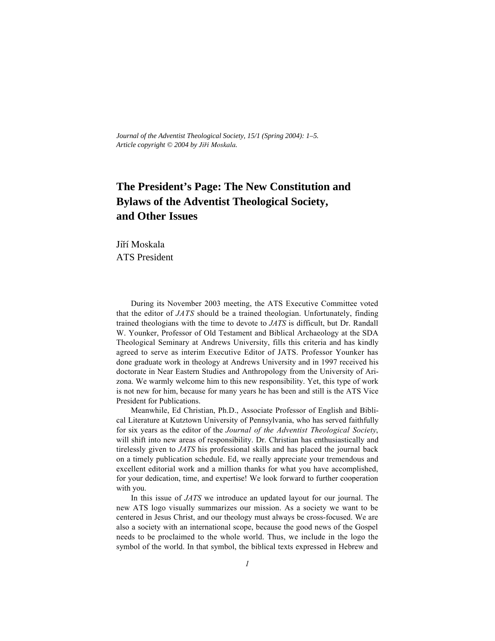*Journal of the Adventist Theological Society, 15/1 (Spring 2004): 1–5. Article copyright © 2004 by Jir¥ˆí Moskala.*

# **The President's Page: The New Constitution and Bylaws of the Adventist Theological Society, and Other Issues**

Jiří Moskala ATS President

During its November 2003 meeting, the ATS Executive Committee voted that the editor of *JATS* should be a trained theologian. Unfortunately, finding trained theologians with the time to devote to *JATS* is difficult, but Dr. Randall W. Younker, Professor of Old Testament and Biblical Archaeology at the SDA Theological Seminary at Andrews University, fills this criteria and has kindly agreed to serve as interim Executive Editor of JATS. Professor Younker has done graduate work in theology at Andrews University and in 1997 received his doctorate in Near Eastern Studies and Anthropology from the University of Arizona. We warmly welcome him to this new responsibility. Yet, this type of work is not new for him, because for many years he has been and still is the ATS Vice President for Publications.

Meanwhile, Ed Christian, Ph.D., Associate Professor of English and Biblical Literature at Kutztown University of Pennsylvania, who has served faithfully for six years as the editor of the *Journal of the Adventist Theological Society*, will shift into new areas of responsibility. Dr. Christian has enthusiastically and tirelessly given to *JATS* his professional skills and has placed the journal back on a timely publication schedule. Ed, we really appreciate your tremendous and excellent editorial work and a million thanks for what you have accomplished, for your dedication, time, and expertise! We look forward to further cooperation with you.

In this issue of *JATS* we introduce an updated layout for our journal. The new ATS logo visually summarizes our mission. As a society we want to be centered in Jesus Christ, and our theology must always be cross-focused. We are also a society with an international scope, because the good news of the Gospel needs to be proclaimed to the whole world. Thus, we include in the logo the symbol of the world. In that symbol, the biblical texts expressed in Hebrew and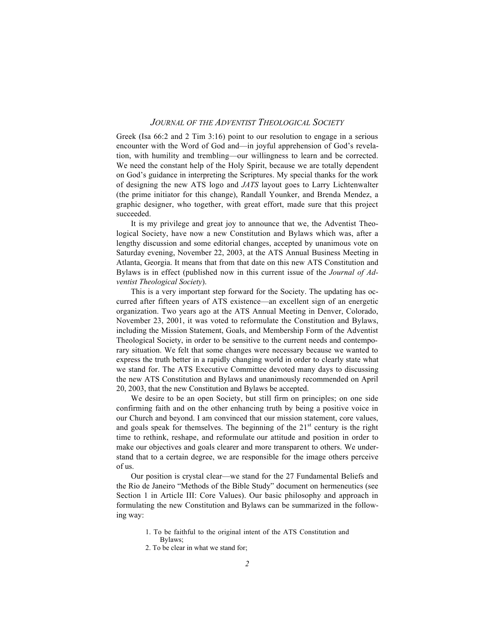#### *JOURNAL OF THE ADVENTIST THEOLOGICAL SOCIETY*

Greek (Isa 66:2 and 2 Tim 3:16) point to our resolution to engage in a serious encounter with the Word of God and—in joyful apprehension of God's revelation, with humility and trembling—our willingness to learn and be corrected. We need the constant help of the Holy Spirit, because we are totally dependent on God's guidance in interpreting the Scriptures. My special thanks for the work of designing the new ATS logo and *JATS* layout goes to Larry Lichtenwalter (the prime initiator for this change), Randall Younker, and Brenda Mendez, a graphic designer, who together, with great effort, made sure that this project succeeded.

It is my privilege and great joy to announce that we, the Adventist Theological Society, have now a new Constitution and Bylaws which was, after a lengthy discussion and some editorial changes, accepted by unanimous vote on Saturday evening, November 22, 2003, at the ATS Annual Business Meeting in Atlanta, Georgia. It means that from that date on this new ATS Constitution and Bylaws is in effect (published now in this current issue of the *Journal of Adventist Theological Society*).

This is a very important step forward for the Society. The updating has occurred after fifteen years of ATS existence—an excellent sign of an energetic organization. Two years ago at the ATS Annual Meeting in Denver, Colorado, November 23, 2001, it was voted to reformulate the Constitution and Bylaws, including the Mission Statement, Goals, and Membership Form of the Adventist Theological Society, in order to be sensitive to the current needs and contemporary situation. We felt that some changes were necessary because we wanted to express the truth better in a rapidly changing world in order to clearly state what we stand for. The ATS Executive Committee devoted many days to discussing the new ATS Constitution and Bylaws and unanimously recommended on April 20, 2003, that the new Constitution and Bylaws be accepted.

We desire to be an open Society, but still firm on principles; on one side confirming faith and on the other enhancing truth by being a positive voice in our Church and beyond. I am convinced that our mission statement, core values, and goals speak for themselves. The beginning of the  $21<sup>st</sup>$  century is the right time to rethink, reshape, and reformulate our attitude and position in order to make our objectives and goals clearer and more transparent to others. We understand that to a certain degree, we are responsible for the image others perceive of us.

Our position is crystal clear—we stand for the 27 Fundamental Beliefs and the Rio de Janeiro "Methods of the Bible Study" document on hermeneutics (see Section 1 in Article III: Core Values). Our basic philosophy and approach in formulating the new Constitution and Bylaws can be summarized in the following way:

- 1. To be faithful to the original intent of the ATS Constitution and Bylaws;
- 2. To be clear in what we stand for;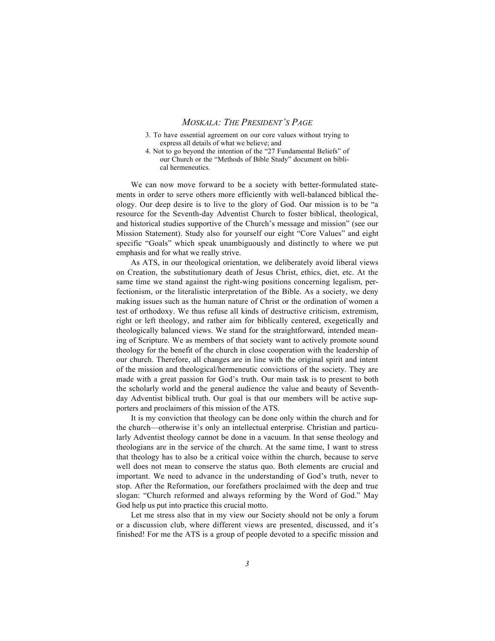#### *MOSKALA: THE PRESIDENT'S PAGE*

- 3. To have essential agreement on our core values without trying to express all details of what we believe; and
- 4. Not to go beyond the intention of the "27 Fundamental Beliefs" of our Church or the "Methods of Bible Study" document on biblical hermeneutics.

We can now move forward to be a society with better-formulated statements in order to serve others more efficiently with well-balanced biblical theology. Our deep desire is to live to the glory of God. Our mission is to be "a resource for the Seventh-day Adventist Church to foster biblical, theological, and historical studies supportive of the Church's message and mission" (see our Mission Statement). Study also for yourself our eight "Core Values" and eight specific "Goals" which speak unambiguously and distinctly to where we put emphasis and for what we really strive.

As ATS, in our theological orientation, we deliberately avoid liberal views on Creation, the substitutionary death of Jesus Christ, ethics, diet, etc. At the same time we stand against the right-wing positions concerning legalism, perfectionism, or the literalistic interpretation of the Bible. As a society, we deny making issues such as the human nature of Christ or the ordination of women a test of orthodoxy. We thus refuse all kinds of destructive criticism, extremism, right or left theology, and rather aim for biblically centered, exegetically and theologically balanced views. We stand for the straightforward, intended meaning of Scripture. We as members of that society want to actively promote sound theology for the benefit of the church in close cooperation with the leadership of our church. Therefore, all changes are in line with the original spirit and intent of the mission and theological/hermeneutic convictions of the society. They are made with a great passion for God's truth. Our main task is to present to both the scholarly world and the general audience the value and beauty of Seventhday Adventist biblical truth. Our goal is that our members will be active supporters and proclaimers of this mission of the ATS.

It is my conviction that theology can be done only within the church and for the church—otherwise it's only an intellectual enterprise. Christian and particularly Adventist theology cannot be done in a vacuum. In that sense theology and theologians are in the service of the church. At the same time, I want to stress that theology has to also be a critical voice within the church, because to serve well does not mean to conserve the status quo. Both elements are crucial and important. We need to advance in the understanding of God's truth, never to stop. After the Reformation, our forefathers proclaimed with the deep and true slogan: "Church reformed and always reforming by the Word of God." May God help us put into practice this crucial motto.

Let me stress also that in my view our Society should not be only a forum or a discussion club, where different views are presented, discussed, and it's finished! For me the ATS is a group of people devoted to a specific mission and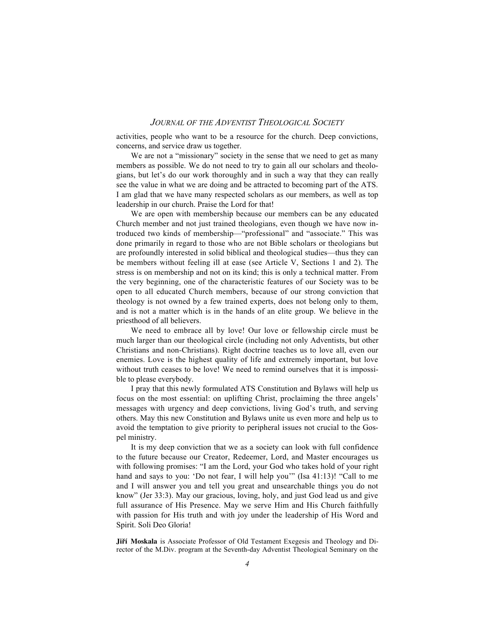### *JOURNAL OF THE ADVENTIST THEOLOGICAL SOCIETY*

activities, people who want to be a resource for the church. Deep convictions, concerns, and service draw us together.

We are not a "missionary" society in the sense that we need to get as many members as possible. We do not need to try to gain all our scholars and theologians, but let's do our work thoroughly and in such a way that they can really see the value in what we are doing and be attracted to becoming part of the ATS. I am glad that we have many respected scholars as our members, as well as top leadership in our church. Praise the Lord for that!

We are open with membership because our members can be any educated Church member and not just trained theologians, even though we have now introduced two kinds of membership—"professional" and "associate." This was done primarily in regard to those who are not Bible scholars or theologians but are profoundly interested in solid biblical and theological studies—thus they can be members without feeling ill at ease (see Article V, Sections 1 and 2). The stress is on membership and not on its kind; this is only a technical matter. From the very beginning, one of the characteristic features of our Society was to be open to all educated Church members, because of our strong conviction that theology is not owned by a few trained experts, does not belong only to them, and is not a matter which is in the hands of an elite group. We believe in the priesthood of all believers.

We need to embrace all by love! Our love or fellowship circle must be much larger than our theological circle (including not only Adventists, but other Christians and non-Christians). Right doctrine teaches us to love all, even our enemies. Love is the highest quality of life and extremely important, but love without truth ceases to be love! We need to remind ourselves that it is impossible to please everybody.

I pray that this newly formulated ATS Constitution and Bylaws will help us focus on the most essential: on uplifting Christ, proclaiming the three angels' messages with urgency and deep convictions, living God's truth, and serving others. May this new Constitution and Bylaws unite us even more and help us to avoid the temptation to give priority to peripheral issues not crucial to the Gospel ministry.

It is my deep conviction that we as a society can look with full confidence to the future because our Creator, Redeemer, Lord, and Master encourages us with following promises: "I am the Lord, your God who takes hold of your right hand and says to you: 'Do not fear, I will help you'" (Isa 41:13)! "Call to me and I will answer you and tell you great and unsearchable things you do not know" (Jer 33:3). May our gracious, loving, holy, and just God lead us and give full assurance of His Presence. May we serve Him and His Church faithfully with passion for His truth and with joy under the leadership of His Word and Spirit. Soli Deo Gloria!

**Jiří Moskala** is Associate Professor of Old Testament Exegesis and Theology and Director of the M.Div. program at the Seventh-day Adventist Theological Seminary on the